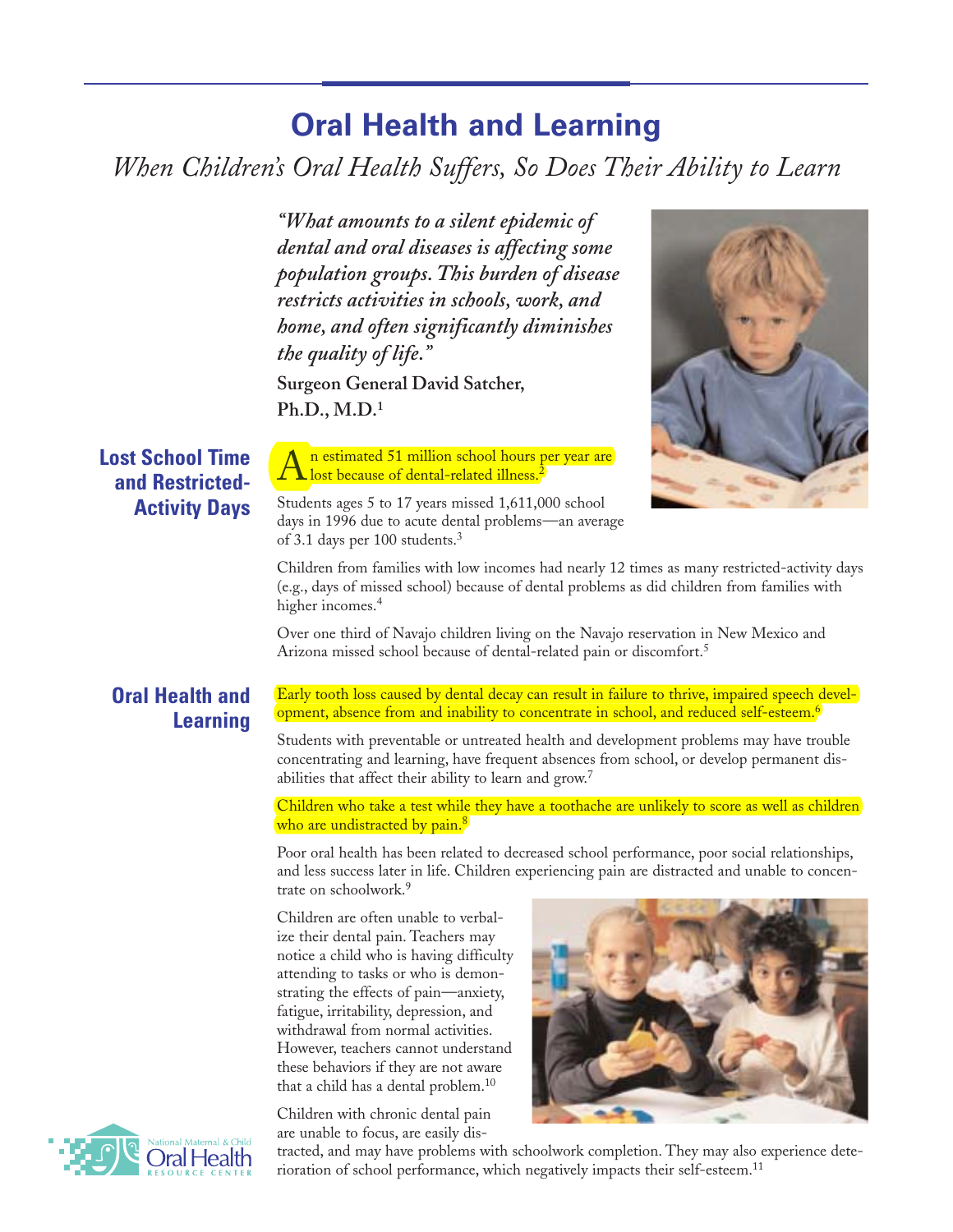# **Oral Health and Learning**

*When Children's Oral Health Suffers, So Does Their Ability to Learn*

*"What amounts to a silent epidemic of dental and oral diseases is affecting some population groups. This burden of disease restricts activities in schools, work, and home, and often significantly diminishes the quality of life."*

**Surgeon General David Satcher, Ph.D., M.D.1**

of 3.1 days per 100 students.3



**Lost School Time and Restricted-Activity Days**

Students ages 5 to 17 years missed 1,611,000 school days in 1996 due to acute dental problems—an average

lost because of dental-related illness.<sup>2</sup>

Children from families with low incomes had nearly 12 times as many restricted-activity days (e.g., days of missed school) because of dental problems as did children from families with higher incomes.<sup>4</sup>

Over one third of Navajo children living on the Navajo reservation in New Mexico and Arizona missed school because of dental-related pain or discomfort.<sup>5</sup>

### **Oral Health and Learning**

Early tooth loss caused by dental decay can result in failure to thrive, impaired speech development, absence from and inability to concentrate in school, and reduced self-esteem.<sup>6</sup>

Students with preventable or untreated health and development problems may have trouble concentrating and learning, have frequent absences from school, or develop permanent disabilities that affect their ability to learn and grow.<sup>7</sup>

Children who take a test while they have a toothache are unlikely to score as well as children who are undistracted by pain.<sup>8</sup>

Poor oral health has been related to decreased school performance, poor social relationships, and less success later in life. Children experiencing pain are distracted and unable to concentrate on schoolwork.9

Children are often unable to verbalize their dental pain. Teachers may notice a child who is having difficulty attending to tasks or who is demonstrating the effects of pain—anxiety, fatigue, irritability, depression, and withdrawal from normal activities. However, teachers cannot understand these behaviors if they are not aware that a child has a dental problem.10

Children with chronic dental pain are unable to focus, are easily dis-





tracted, and may have problems with schoolwork completion. They may also experience deterioration of school performance, which negatively impacts their self-esteem.<sup>11</sup>